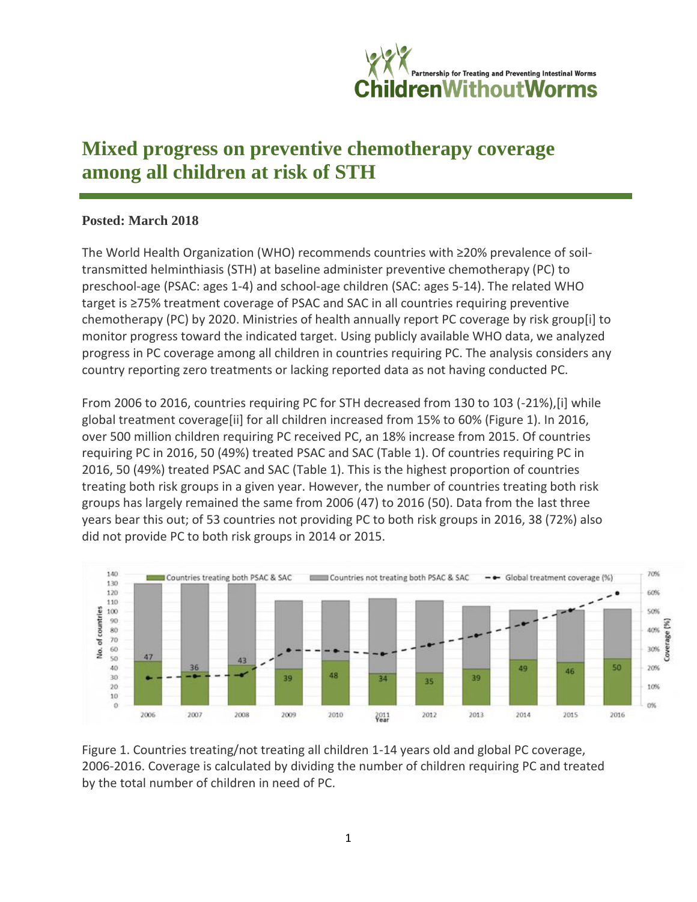

## **Mixed progress on preventive chemotherapy coverage among all children at risk of STH**

## **Posted: March 2018**

The World Health Organization (WHO) recommends countries with ≥20% prevalence of soiltransmitted helminthiasis (STH) at baseline administer preventive chemotherapy (PC) to preschool-age (PSAC: ages 1-4) and school-age children (SAC: ages 5-14). The related WHO target is ≥75% treatment coverage of PSAC and SAC in all countries requiring preventive chemotherapy (PC) by 2020. Ministries of health annually report PC coverage by risk group[i] to monitor progress toward the indicated target. Using publicly available WHO data, we analyzed progress in PC coverage among all children in countries requiring PC. The analysis considers any country reporting zero treatments or lacking reported data as not having conducted PC.

From 2006 to 2016, countries requiring PC for STH decreased from 130 to 103 (-21%),[i] while global treatment coverage[ii] for all children increased from 15% to 60% (Figure 1). In 2016, over 500 million children requiring PC received PC, an 18% increase from 2015. Of countries requiring PC in 2016, 50 (49%) treated PSAC and SAC (Table 1). Of countries requiring PC in 2016, 50 (49%) treated PSAC and SAC (Table 1). This is the highest proportion of countries treating both risk groups in a given year. However, the number of countries treating both risk groups has largely remained the same from 2006 (47) to 2016 (50). Data from the last three years bear this out; of 53 countries not providing PC to both risk groups in 2016, 38 (72%) also did not provide PC to both risk groups in 2014 or 2015.



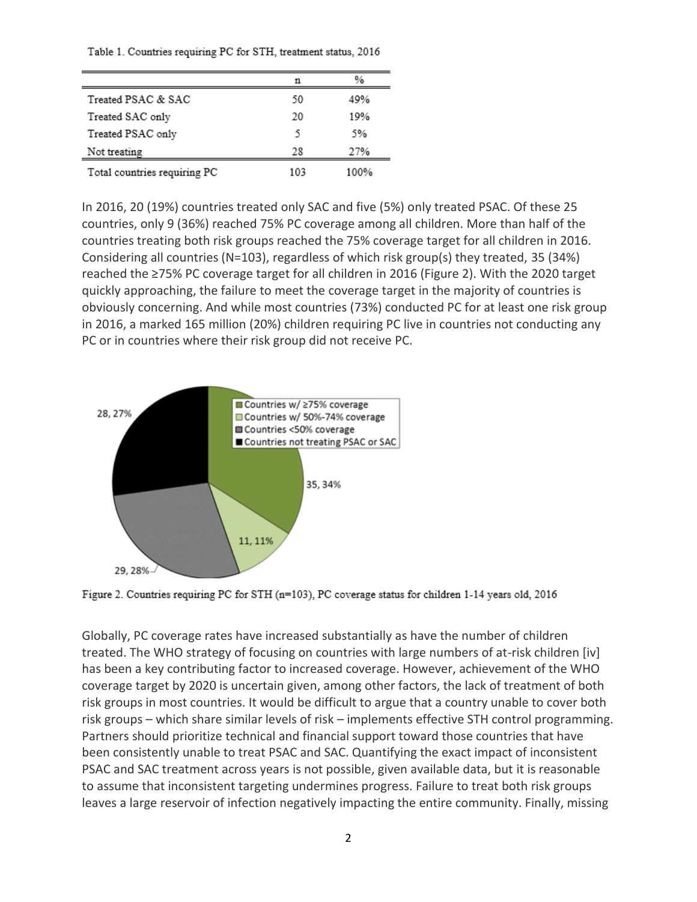Table 1. Countries requiring PC for STH, treatment status, 2016

|                              | n   | $\%$ |
|------------------------------|-----|------|
| Treated PSAC & SAC           | 50  | 49%  |
| Treated SAC only             | 20  | 19%  |
| Treated PSAC only            | 5   | 5%   |
| Not treating                 | 28  | 27%  |
| Total countries requiring PC | 103 | 100% |

In 2016, 20 (19%) countries treated only SAC and five (5%) only treated PSAC. Of these 25 countries, only 9 (36%) reached 75% PC coverage among all children. More than half of the countries treating both risk groups reached the 75% coverage target for all children in 2016. Considering all countries (N=103), regardless of which risk group(s) they treated, 35 (34%) reached the ≥75% PC coverage target for all children in 2016 (Figure 2). With the 2020 target quickly approaching, the failure to meet the coverage target in the majority of countries is obviously concerning. And while most countries (73%) conducted PC for at least one risk group in 2016, a marked 165 million (20%) children requiring PC live in countries not conducting any PC or in countries where their risk group did not receive PC.



Figure 2. Countries requiring PC for STH (n=103), PC coverage status for children 1-14 years old, 2016

Globally, PC coverage rates have increased substantially as have the number of children treated. The WHO strategy of focusing on countries with large numbers of at-risk children [iv] has been a key contributing factor to increased coverage. However, achievement of the WHO coverage target by 2020 is uncertain given, among other factors, the lack of treatment of both risk groups in most countries. It would be difficult to argue that a country unable to cover both risk groups – which share similar levels of risk – implements effective STH control programming. Partners should prioritize technical and financial support toward those countries that have been consistently unable to treat PSAC and SAC. Quantifying the exact impact of inconsistent PSAC and SAC treatment across years is not possible, given available data, but it is reasonable to assume that inconsistent targeting undermines progress. Failure to treat both risk groups leaves a large reservoir of infection negatively impacting the entire community. Finally, missing